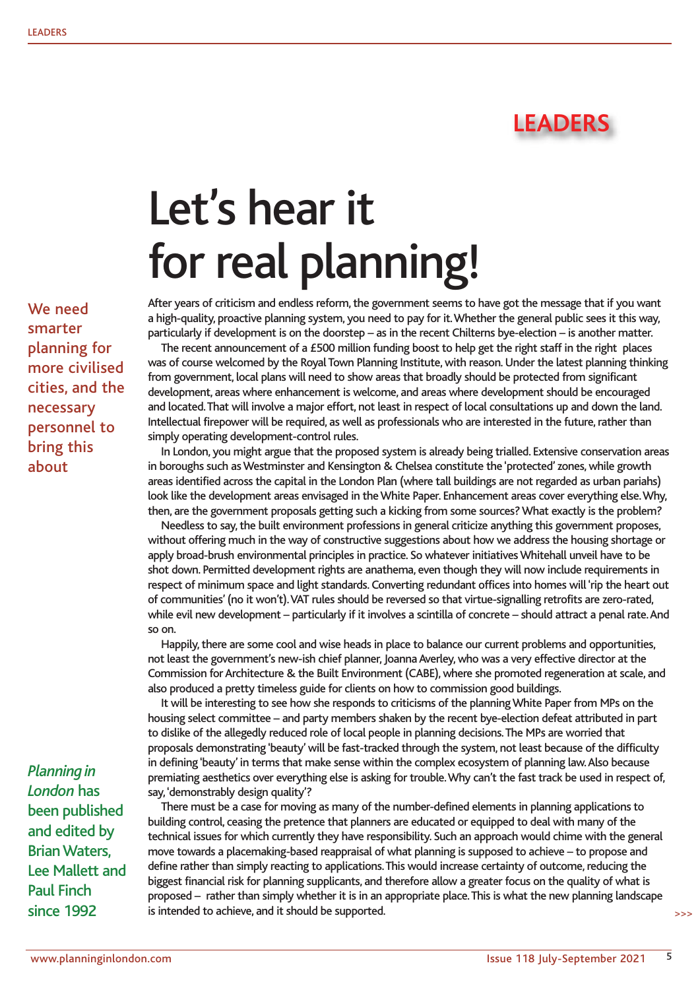

## Let's hear it for real planning!

After years of criticism and endless reform, the government seems to have got the message that if you want a high-quality, proactive planning system, you need to pay for it. Whether the general public sees it this way, particularly if development is on the doorstep – as in the recent Chilterns bye-election – is another matter.

The recent announcement of a £500 million funding boost to help get the right staff in the right places was of course welcomed by the Royal Town Planning Institute, with reason. Under the latest planning thinking from government, local plans will need to show areas that broadly should be protected from significant development, areas where enhancement is welcome, and areas where development should be encouraged and located. That will involve a major effort, not least in respect of local consultations up and down the land. Intellectual firepower will be required, as well as professionals who are interested in the future, rather than simply operating development-control rules.

In London, you might argue that the proposed system is already being trialled. Extensive conservation areas in boroughs such as Westminster and Kensington & Chelsea constitute the 'protected' zones, while growth areas identified across the capital in the London Plan (where tall buildings are not regarded as urban pariahs) look like the development areas envisaged in the White Paper. Enhancement areas cover everything else. Why, then, are the government proposals getting such a kicking from some sources? What exactly is the problem?

Needless to say, the built environment professions in general criticize anything this government proposes, without offering much in the way of constructive suggestions about how we address the housing shortage or apply broad-brush environmental principles in practice. So whatever initiatives Whitehall unveil have to be shot down. Permitted development rights are anathema, even though they will now include requirements in respect of minimum space and light standards. Converting redundant offices into homes will 'rip the heart out of communities' (no it won't). VAT rules should be reversed so that virtue-signalling retrofits are zero-rated, while evil new development – particularly if it involves a scintilla of concrete – should attract a penal rate. And so on.

Happily, there are some cool and wise heads in place to balance our current problems and opportunities, not least the government's new-ish chief planner, Joanna Averley, who was a very effective director at the Commission for Architecture & the Built Environment (CABE), where she promoted regeneration at scale, and also produced a pretty timeless guide for clients on how to commission good buildings.

It will be interesting to see how she responds to criticisms of the planning White Paper from MPs on the housing select committee – and party members shaken by the recent bye-election defeat attributed in part to dislike of the allegedly reduced role of local people in planning decisions. The MPs are worried that proposals demonstrating 'beauty' will be fast-tracked through the system, not least because of the difficulty in defining 'beauty' in terms that make sense within the complex ecosystem of planning law. Also because premiating aesthetics over everything else is asking for trouble. Why can't the fast track be used in respect of, say, 'demonstrably design quality'?

There must be a case for moving as many of the number-defined elements in planning applications to building control, ceasing the pretence that planners are educated or equipped to deal with many of the technical issues for which currently they have responsibility. Such an approach would chime with the general move towards a placemaking-based reappraisal of what planning is supposed to achieve – to propose and define rather than simply reacting to applications. This would increase certainty of outcome, reducing the biggest financial risk for planning supplicants, and therefore allow a greater focus on the quality of what is proposed – rather than simply whether it is in an appropriate place. This is what the new planning landscape is intended to achieve, and it should be supported.

We need smarter planning for more civilised cities, and the necessary personnel to bring this about

*Planning in London* has been published and edited by Brian Waters, Lee Mallett and Paul Finch since 1992

>>>